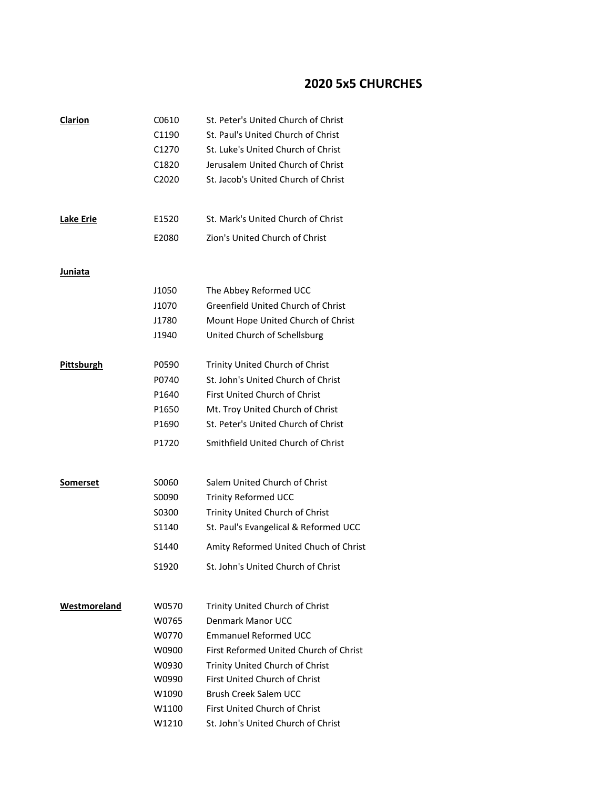## **2020 5x5 CHURCHES**

| Clarion           | C0610 | St. Peter's United Church of Christ    |
|-------------------|-------|----------------------------------------|
|                   | C1190 | St. Paul's United Church of Christ     |
|                   | C1270 | St. Luke's United Church of Christ     |
|                   | C1820 | Jerusalem United Church of Christ      |
|                   | C2020 | St. Jacob's United Church of Christ    |
| <b>Lake Erie</b>  | E1520 | St. Mark's United Church of Christ     |
|                   | E2080 | Zion's United Church of Christ         |
|                   |       |                                        |
| Juniata           |       |                                        |
|                   | J1050 | The Abbey Reformed UCC                 |
|                   | J1070 | Greenfield United Church of Christ     |
|                   | J1780 | Mount Hope United Church of Christ     |
|                   | J1940 | United Church of Schellsburg           |
| <b>Pittsburgh</b> | P0590 | Trinity United Church of Christ        |
|                   | P0740 | St. John's United Church of Christ     |
|                   | P1640 | <b>First United Church of Christ</b>   |
|                   | P1650 | Mt. Troy United Church of Christ       |
|                   | P1690 | St. Peter's United Church of Christ    |
|                   | P1720 | Smithfield United Church of Christ     |
|                   |       |                                        |
| Somerset          | S0060 | Salem United Church of Christ          |
|                   | S0090 | <b>Trinity Reformed UCC</b>            |
|                   | S0300 | Trinity United Church of Christ        |
|                   | S1140 | St. Paul's Evangelical & Reformed UCC  |
|                   | S1440 | Amity Reformed United Chuch of Christ  |
|                   | S1920 | St. John's United Church of Christ     |
| Westmoreland      | W0570 | Trinity United Church of Christ        |
|                   | W0765 | Denmark Manor UCC                      |
|                   | W0770 | <b>Emmanuel Reformed UCC</b>           |
|                   | W0900 | First Reformed United Church of Christ |
|                   | W0930 | Trinity United Church of Christ        |
|                   | W0990 | First United Church of Christ          |
|                   | W1090 | Brush Creek Salem UCC                  |
|                   | W1100 | First United Church of Christ          |
|                   | W1210 | St. John's United Church of Christ     |
|                   |       |                                        |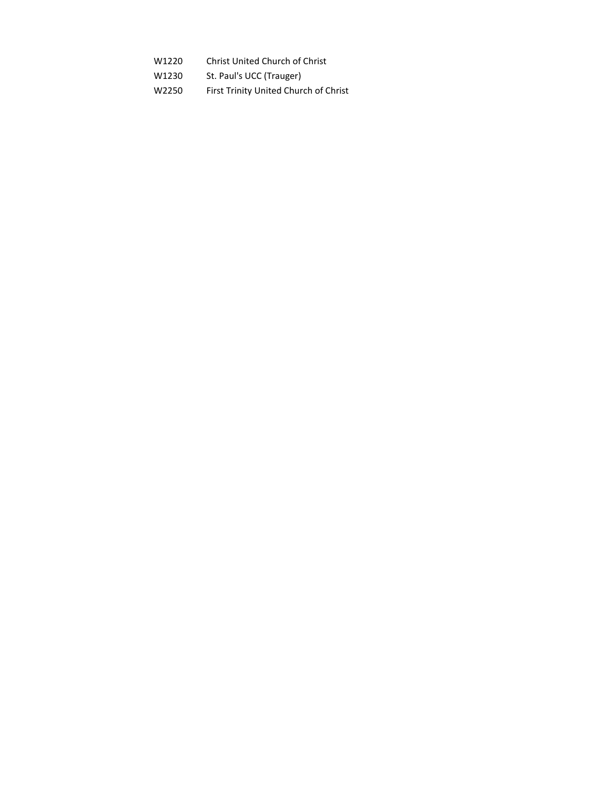- W1220 Christ United Church of Christ
- W1230 St. Paul's UCC (Trauger)
- W2250 First Trinity United Church of Christ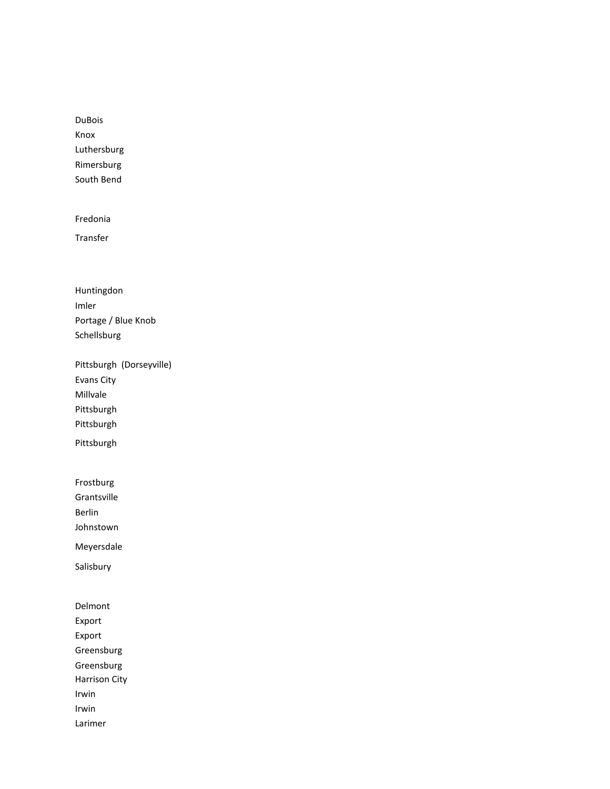DuBois Knox Luthersburg Rimersburg South Bend

Fredonia

Transfer

Huntingdon Imler Portage / Blue Knob Schellsburg

Pittsburgh (Dorseyville) Evans City Millvale Pittsburgh Pittsburgh

Pittsburgh

Frostburg

Grantsville

Berlin

Johnstown

Meyersdale

Salisbury

Delmont Export Export Greensburg Greensburg Harrison City Irwin Irwin Larimer